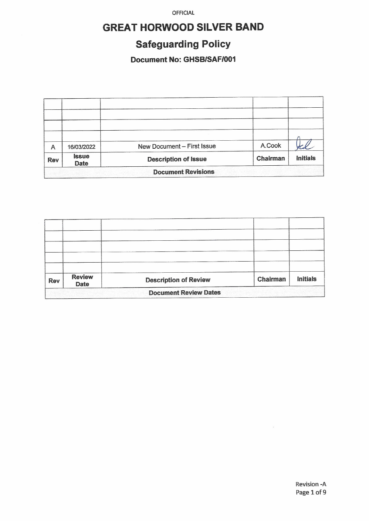# **GREAT HORWOOD SILVER BAND**

# **Safeguarding Policy**

## **Document No: GHSB/SAF/001**

| Α                         | 16/03/2022                  | New Document - First Issue  | A.Cook   |                 |  |  |
|---------------------------|-----------------------------|-----------------------------|----------|-----------------|--|--|
| <b>Rev</b>                | <b>Issue</b><br><b>Date</b> | <b>Description of Issue</b> | Chairman | <b>Initials</b> |  |  |
| <b>Document Revisions</b> |                             |                             |          |                 |  |  |

| <b>Rev</b> | <b>Review</b><br><b>Date</b> | <b>Description of Review</b> | Chairman | <b>Initials</b> |
|------------|------------------------------|------------------------------|----------|-----------------|
|            |                              | <b>Document Review Dates</b> |          |                 |

 $\bar{t}$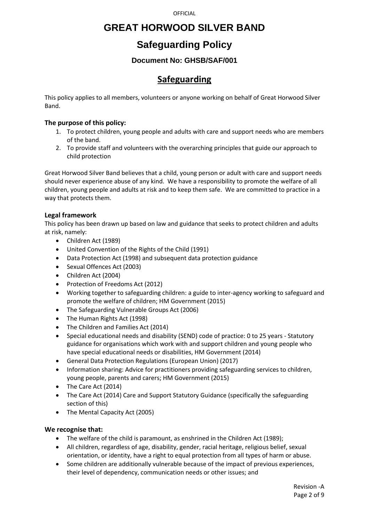## **GREAT HORWOOD SILVER BAND**

# **Safeguarding Policy**

### **Document No: GHSB/SAF/001**

## **Safeguarding**

This policy applies to all members, volunteers or anyone working on behalf of Great Horwood Silver Band.

### **The purpose of this policy:**

- 1. To protect children, young people and adults with care and support needs who are members of the band.
- 2. To provide staff and volunteers with the overarching principles that guide our approach to child protection

Great Horwood Silver Band believes that a child, young person or adult with care and support needs should never experience abuse of any kind. We have a responsibility to promote the welfare of all children, young people and adults at risk and to keep them safe. We are committed to practice in a way that protects them.

### **Legal framework**

This policy has been drawn up based on law and guidance that seeks to protect children and adults at risk, namely:

- Children Act (1989)
- United Convention of the Rights of the Child (1991)
- Data Protection Act (1998) and subsequent data protection guidance
- Sexual Offences Act (2003)
- Children Act (2004)
- Protection of Freedoms Act (2012)
- Working together to safeguarding children: a guide to inter-agency working to safeguard and promote the welfare of children; HM Government (2015)
- The Safeguarding Vulnerable Groups Act (2006)
- The Human Rights Act (1998)
- The Children and Families Act (2014)
- Special educational needs and disability (SEND) code of practice: 0 to 25 years Statutory guidance for organisations which work with and support children and young people who have special educational needs or disabilities, HM Government (2014)
- General Data Protection Regulations (European Union) (2017)
- Information sharing: Advice for practitioners providing safeguarding services to children, young people, parents and carers; HM Government (2015)
- The Care Act (2014)
- The Care Act (2014) Care and Support Statutory Guidance (specifically the safeguarding section of this)
- The Mental Capacity Act (2005)

### **We recognise that:**

- The welfare of the child is paramount, as enshrined in the Children Act (1989);
- All children, regardless of age, disability, gender, racial heritage, religious belief, sexual orientation, or identity, have a right to equal protection from all types of harm or abuse.
- Some children are additionally vulnerable because of the impact of previous experiences, their level of dependency, communication needs or other issues; and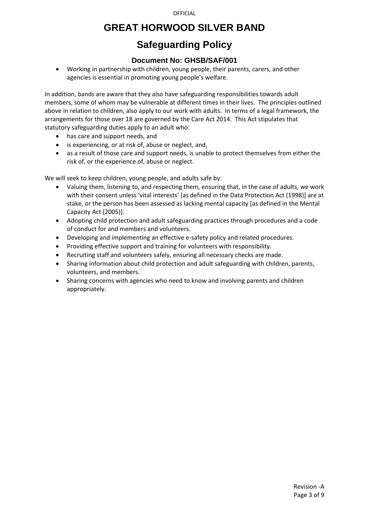# **GREAT HORWOOD SILVER BAND**

# **Safeguarding Policy**

### **Document No: GHSB/SAF/001**

• Working in partnership with children, young people, their parents, carers, and other agencies is essential in promoting young people's welfare.

In addition, bands are aware that they also have safeguarding responsibilities towards adult members, some of whom may be vulnerable at different times in their lives. The principles outlined above in relation to children, also apply to our work with adults. In terms of a legal framework, the arrangements for those over 18 are governed by the Care Act 2014. This Act stipulates that statutory safeguarding duties apply to an adult who:

- has care and support needs, and
- is experiencing, or at risk of, abuse or neglect, and,
- as a result of those care and support needs, is unable to protect themselves from either the risk of, or the experience of, abuse or neglect.

We will seek to keep children, young people, and adults safe by:

- Valuing them, listening to, and respecting them, ensuring that, in the case of adults, we work with their consent unless 'vital interests' [as defined in the Data Protection Act (1998)] are at stake, or the person has been assessed as lacking mental capacity [as defined in the Mental Capacity Act (2005)].
- Adopting child protection and adult safeguarding practices through procedures and a code of conduct for and members and volunteers.
- Developing and implementing an effective e-safety policy and related procedures.
- Providing effective support and training for volunteers with responsibility.
- Recruiting staff and volunteers safely, ensuring all necessary checks are made.
- Sharing information about child protection and adult safeguarding with children, parents, volunteers, and members.
- Sharing concerns with agencies who need to know and involving parents and children appropriately.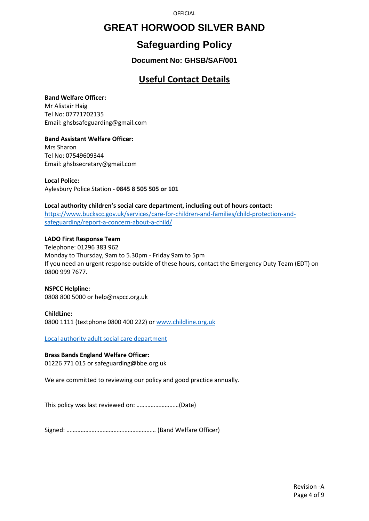## **GREAT HORWOOD SILVER BAND**

# **Safeguarding Policy**

**Document No: GHSB/SAF/001**

## **Useful Contact Details**

### **Band Welfare Officer:**

Mr Alistair Haig Tel No: 07771702135 Email: ghsbsafeguarding@gmail.com

**Band Assistant Welfare Officer:** Mrs Sharon Tel No: 07549609344 Email: ghsbsecretary@gmail.com

**Local Police:** Aylesbury Police Station - **0845 8 505 505 or 101**

### **Local authority children's social care department, including out of hours contact:**

[https://www.buckscc.gov.uk/services/care-for-children-and-families/child-protection-and](https://www.buckscc.gov.uk/services/care-for-children-and-families/child-protection-and-safeguarding/report-a-concern-about-a-child/)[safeguarding/report-a-concern-about-a-child/](https://www.buckscc.gov.uk/services/care-for-children-and-families/child-protection-and-safeguarding/report-a-concern-about-a-child/)

### **LADO First Response Team**

Telephone: 01296 383 962 Monday to Thursday, 9am to 5.30pm - Friday 9am to 5pm If you need an urgent response outside of these hours, contact the Emergency Duty Team (EDT) on 0800 999 7677.

#### **NSPCC Helpline:** 0808 800 5000 or help@nspcc.org.uk

### **ChildLine:**

0800 1111 (textphone 0800 400 222) or [www.childline.org.uk](http://www.childline.org.uk/)

Local authority adult social care department

### **Brass Bands England Welfare Officer:**

01226 771 015 or safeguarding@bbe.org.uk

We are committed to reviewing our policy and good practice annually.

This policy was last reviewed on: ………………………(Date)

Signed: ………………………………………………… (Band Welfare Officer)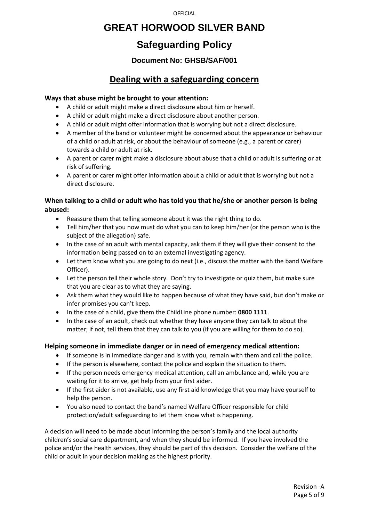## **GREAT HORWOOD SILVER BAND**

# **Safeguarding Policy**

### **Document No: GHSB/SAF/001**

## **Dealing with a safeguarding concern**

### **Ways that abuse might be brought to your attention:**

- A child or adult might make a direct disclosure about him or herself.
- A child or adult might make a direct disclosure about another person.
- A child or adult might offer information that is worrying but not a direct disclosure.
- A member of the band or volunteer might be concerned about the appearance or behaviour of a child or adult at risk, or about the behaviour of someone (e.g., a parent or carer) towards a child or adult at risk.
- A parent or carer might make a disclosure about abuse that a child or adult is suffering or at risk of suffering.
- A parent or carer might offer information about a child or adult that is worrying but not a direct disclosure.

### **When talking to a child or adult who has told you that he/she or another person is being abused:**

- Reassure them that telling someone about it was the right thing to do.
- Tell him/her that you now must do what you can to keep him/her (or the person who is the subject of the allegation) safe.
- In the case of an adult with mental capacity, ask them if they will give their consent to the information being passed on to an external investigating agency.
- Let them know what you are going to do next (i.e., discuss the matter with the band Welfare Officer).
- Let the person tell their whole story. Don't try to investigate or quiz them, but make sure that you are clear as to what they are saying.
- Ask them what they would like to happen because of what they have said, but don't make or infer promises you can't keep.
- In the case of a child, give them the ChildLine phone number: **0800 1111**.
- In the case of an adult, check out whether they have anyone they can talk to about the matter; if not, tell them that they can talk to you (if you are willing for them to do so).

### **Helping someone in immediate danger or in need of emergency medical attention:**

- If someone is in immediate danger and is with you, remain with them and call the police.
- If the person is elsewhere, contact the police and explain the situation to them.
- If the person needs emergency medical attention, call an ambulance and, while you are waiting for it to arrive, get help from your first aider.
- If the first aider is not available, use any first aid knowledge that you may have yourself to help the person.
- You also need to contact the band's named Welfare Officer responsible for child protection/adult safeguarding to let them know what is happening.

A decision will need to be made about informing the person's family and the local authority children's social care department, and when they should be informed. If you have involved the police and/or the health services, they should be part of this decision. Consider the welfare of the child or adult in your decision making as the highest priority.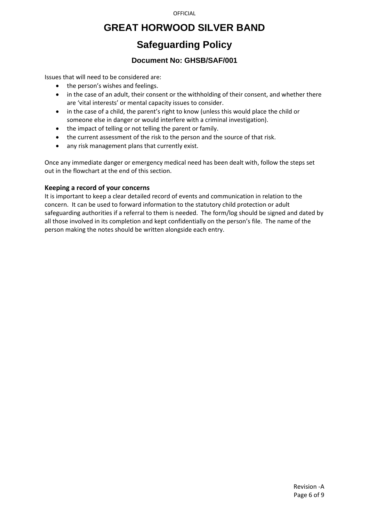## **GREAT HORWOOD SILVER BAND**

# **Safeguarding Policy**

### **Document No: GHSB/SAF/001**

Issues that will need to be considered are:

- the person's wishes and feelings.
- in the case of an adult, their consent or the withholding of their consent, and whether there are 'vital interests' or mental capacity issues to consider.
- in the case of a child, the parent's right to know (unless this would place the child or someone else in danger or would interfere with a criminal investigation).
- the impact of telling or not telling the parent or family.
- the current assessment of the risk to the person and the source of that risk.
- any risk management plans that currently exist.

Once any immediate danger or emergency medical need has been dealt with, follow the steps set out in the flowchart at the end of this section.

### **Keeping a record of your concerns**

It is important to keep a clear detailed record of events and communication in relation to the concern. It can be used to forward information to the statutory child protection or adult safeguarding authorities if a referral to them is needed. The form/log should be signed and dated by all those involved in its completion and kept confidentially on the person's file. The name of the person making the notes should be written alongside each entry.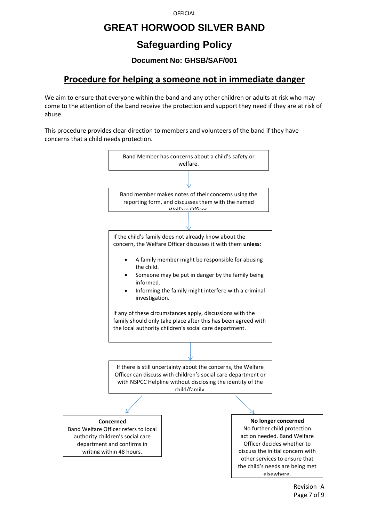## **GREAT HORWOOD SILVER BAND**

# **Safeguarding Policy**

### **Document No: GHSB/SAF/001**

## **Procedure for helping a someone not in immediate danger**

We aim to ensure that everyone within the band and any other children or adults at risk who may come to the attention of the band receive the protection and support they need if they are at risk of abuse.

This procedure provides clear direction to members and volunteers of the band if they have concerns that a child needs protection.

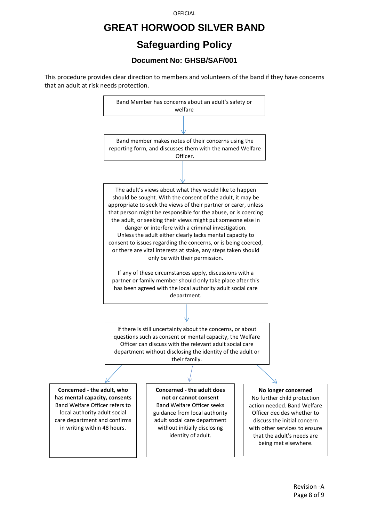## **GREAT HORWOOD SILVER BAND**

# **Safeguarding Policy**

### **Document No: GHSB/SAF/001**

This procedure provides clear direction to members and volunteers of the band if they have concerns that an adult at risk needs protection.